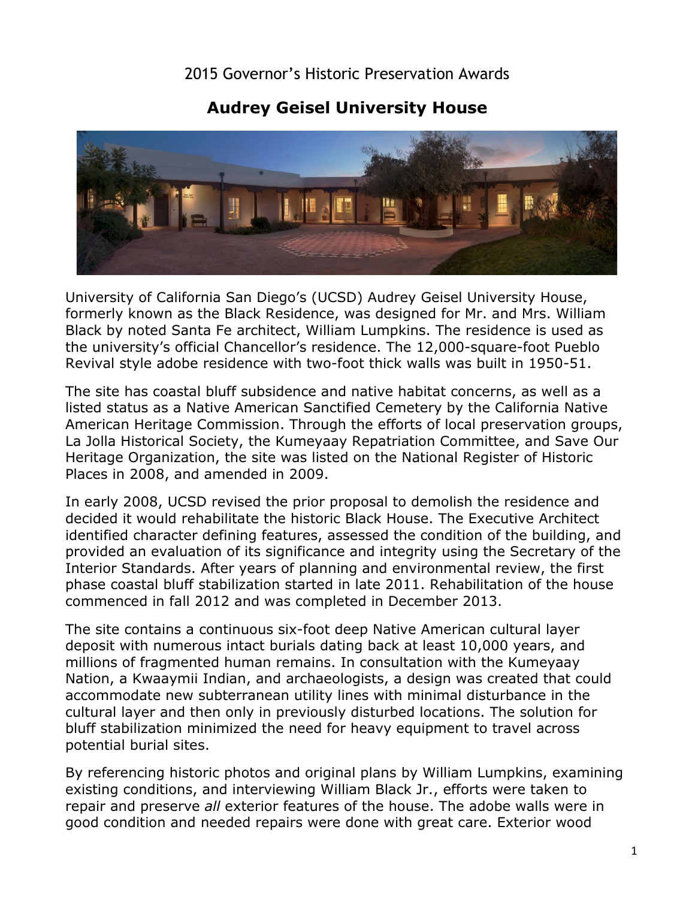## 2015 Governor's Historic Preservation Awards

## **Audrey Geisel University House**



 University of California San Diego's (UCSD) Audrey Geisel University House, formerly known as the Black Residence, was designed for Mr. and Mrs. William Black by noted Santa Fe architect, William Lumpkins. The residence is used as the university's official Chancellor's residence. The 12,000-square-foot Pueblo Revival style adobe residence with two-foot thick walls was built in 1950-51.

 La Jolla Historical Society, the Kumeyaay Repatriation Committee, and Save Our The site has coastal bluff subsidence and native habitat concerns, as well as a listed status as a Native American Sanctified Cemetery by the California Native American Heritage Commission. Through the efforts of local preservation groups, Heritage Organization, the site was listed on the National Register of Historic Places in 2008, and amended in 2009.

In early 2008, UCSD revised the prior proposal to demolish the residence and decided it would rehabilitate the historic Black House. The Executive Architect identified character defining features, assessed the condition of the building, and provided an evaluation of its significance and integrity using the Secretary of the Interior Standards. After years of planning and environmental review, the first phase coastal bluff stabilization started in late 2011. Rehabilitation of the house commenced in fall 2012 and was completed in December 2013.

 accommodate new subterranean utility lines with minimal disturbance in the The site contains a continuous six-foot deep Native American cultural layer deposit with numerous intact burials dating back at least 10,000 years, and millions of fragmented human remains. In consultation with the Kumeyaay Nation, a Kwaaymii Indian, and archaeologists, a design was created that could cultural layer and then only in previously disturbed locations. The solution for bluff stabilization minimized the need for heavy equipment to travel across potential burial sites.

 By referencing historic photos and original plans by William Lumpkins, examining good condition and needed repairs were done with great care. Exterior wood existing conditions, and interviewing William Black Jr., efforts were taken to repair and preserve *all* exterior features of the house. The adobe walls were in